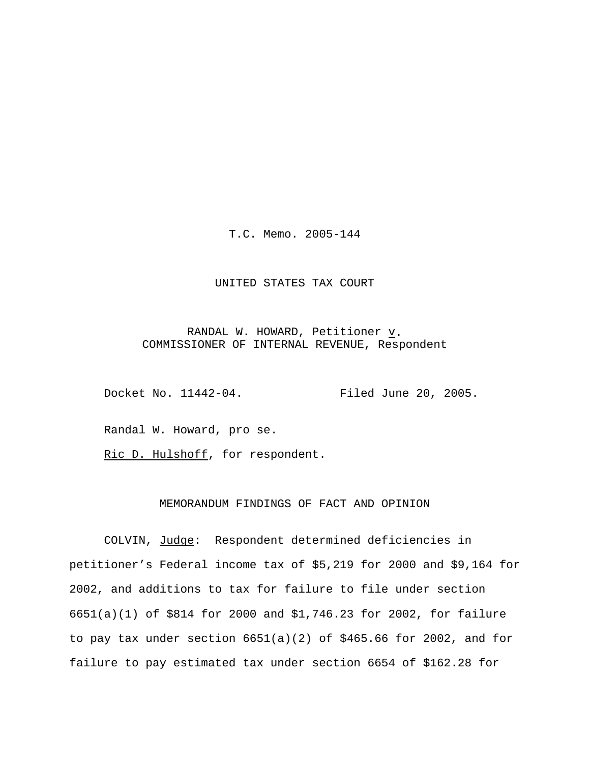T.C. Memo. 2005-144

### UNITED STATES TAX COURT

RANDAL W. HOWARD, Petitioner  $\underline{v}$ . COMMISSIONER OF INTERNAL REVENUE, Respondent

Docket No. 11442-04. Filed June 20, 2005.

Randal W. Howard, pro se.

Ric D. Hulshoff, for respondent.

## MEMORANDUM FINDINGS OF FACT AND OPINION

COLVIN, Judge: Respondent determined deficiencies in petitioner's Federal income tax of \$5,219 for 2000 and \$9,164 for 2002, and additions to tax for failure to file under section 6651(a)(1) of \$814 for 2000 and \$1,746.23 for 2002, for failure to pay tax under section 6651(a)(2) of \$465.66 for 2002, and for failure to pay estimated tax under section 6654 of \$162.28 for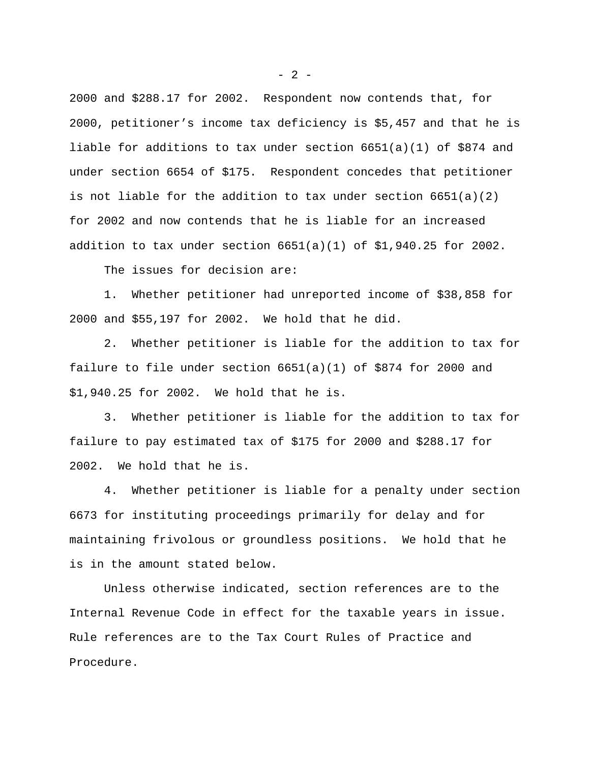2000 and \$288.17 for 2002. Respondent now contends that, for 2000, petitioner's income tax deficiency is \$5,457 and that he is liable for additions to tax under section 6651(a)(1) of \$874 and under section 6654 of \$175. Respondent concedes that petitioner is not liable for the addition to tax under section  $6651(a)(2)$ for 2002 and now contends that he is liable for an increased addition to tax under section  $6651(a)(1)$  of \$1,940.25 for 2002.

The issues for decision are:

1. Whether petitioner had unreported income of \$38,858 for 2000 and \$55,197 for 2002. We hold that he did.

2. Whether petitioner is liable for the addition to tax for failure to file under section  $6651(a)(1)$  of \$874 for 2000 and \$1,940.25 for 2002. We hold that he is.

3. Whether petitioner is liable for the addition to tax for failure to pay estimated tax of \$175 for 2000 and \$288.17 for 2002. We hold that he is.

4. Whether petitioner is liable for a penalty under section 6673 for instituting proceedings primarily for delay and for maintaining frivolous or groundless positions. We hold that he is in the amount stated below.

Unless otherwise indicated, section references are to the Internal Revenue Code in effect for the taxable years in issue. Rule references are to the Tax Court Rules of Practice and Procedure.

 $- 2 -$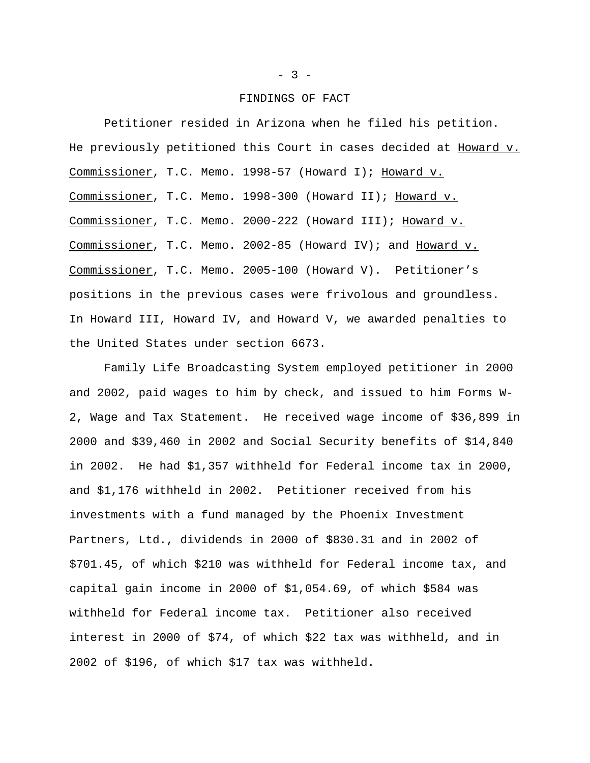#### FINDINGS OF FACT

Petitioner resided in Arizona when he filed his petition. He previously petitioned this Court in cases decided at Howard v. Commissioner, T.C. Memo. 1998-57 (Howard I); Howard v. Commissioner, T.C. Memo. 1998-300 (Howard II); Howard v. Commissioner, T.C. Memo. 2000-222 (Howard III); Howard v. Commissioner, T.C. Memo. 2002-85 (Howard IV); and Howard v. Commissioner, T.C. Memo. 2005-100 (Howard V). Petitioner's positions in the previous cases were frivolous and groundless. In Howard III, Howard IV, and Howard V, we awarded penalties to the United States under section 6673.

Family Life Broadcasting System employed petitioner in 2000 and 2002, paid wages to him by check, and issued to him Forms W-2, Wage and Tax Statement. He received wage income of \$36,899 in 2000 and \$39,460 in 2002 and Social Security benefits of \$14,840 in 2002. He had \$1,357 withheld for Federal income tax in 2000, and \$1,176 withheld in 2002. Petitioner received from his investments with a fund managed by the Phoenix Investment Partners, Ltd., dividends in 2000 of \$830.31 and in 2002 of \$701.45, of which \$210 was withheld for Federal income tax, and capital gain income in 2000 of \$1,054.69, of which \$584 was withheld for Federal income tax. Petitioner also received interest in 2000 of \$74, of which \$22 tax was withheld, and in 2002 of \$196, of which \$17 tax was withheld.

### $- 3 -$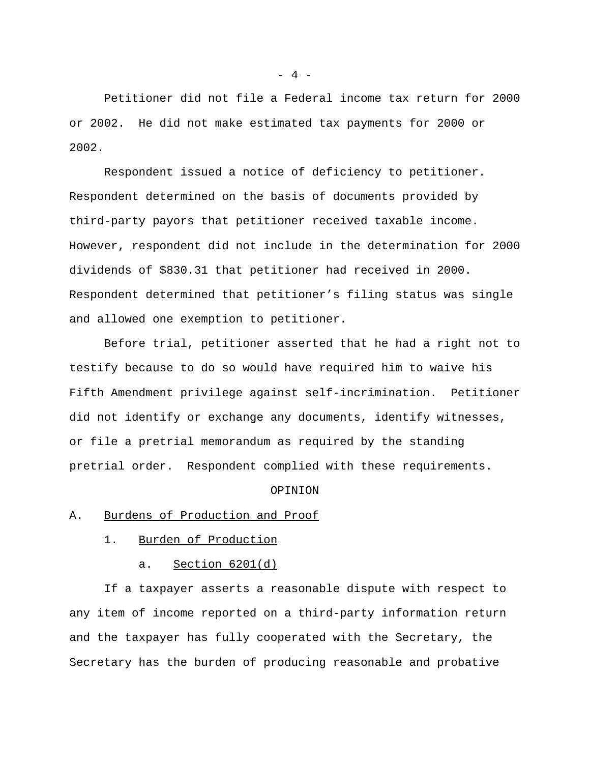Petitioner did not file a Federal income tax return for 2000 or 2002. He did not make estimated tax payments for 2000 or 2002.

Respondent issued a notice of deficiency to petitioner. Respondent determined on the basis of documents provided by third-party payors that petitioner received taxable income. However, respondent did not include in the determination for 2000 dividends of \$830.31 that petitioner had received in 2000. Respondent determined that petitioner's filing status was single and allowed one exemption to petitioner.

Before trial, petitioner asserted that he had a right not to testify because to do so would have required him to waive his Fifth Amendment privilege against self-incrimination. Petitioner did not identify or exchange any documents, identify witnesses, or file a pretrial memorandum as required by the standing pretrial order. Respondent complied with these requirements.

### OPINION

## A. Burdens of Production and Proof

- 1. Burden of Production
	- a. Section 6201(d)

If a taxpayer asserts a reasonable dispute with respect to any item of income reported on a third-party information return and the taxpayer has fully cooperated with the Secretary, the Secretary has the burden of producing reasonable and probative

 $- 4 -$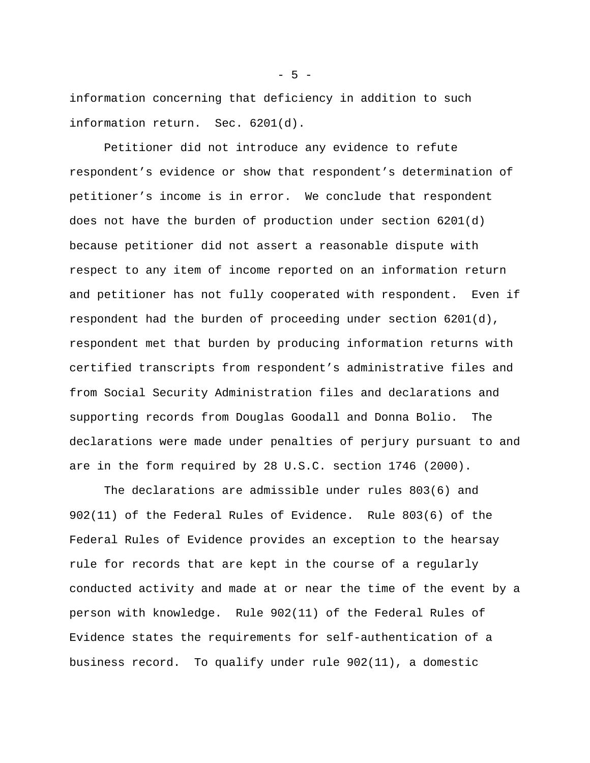information concerning that deficiency in addition to such information return. Sec. 6201(d).

Petitioner did not introduce any evidence to refute respondent's evidence or show that respondent's determination of petitioner's income is in error. We conclude that respondent does not have the burden of production under section 6201(d) because petitioner did not assert a reasonable dispute with respect to any item of income reported on an information return and petitioner has not fully cooperated with respondent. Even if respondent had the burden of proceeding under section 6201(d), respondent met that burden by producing information returns with certified transcripts from respondent's administrative files and from Social Security Administration files and declarations and supporting records from Douglas Goodall and Donna Bolio. The declarations were made under penalties of perjury pursuant to and are in the form required by 28 U.S.C. section 1746 (2000).

The declarations are admissible under rules 803(6) and 902(11) of the Federal Rules of Evidence. Rule 803(6) of the Federal Rules of Evidence provides an exception to the hearsay rule for records that are kept in the course of a regularly conducted activity and made at or near the time of the event by a person with knowledge. Rule 902(11) of the Federal Rules of Evidence states the requirements for self-authentication of a business record. To qualify under rule 902(11), a domestic

 $-5 -$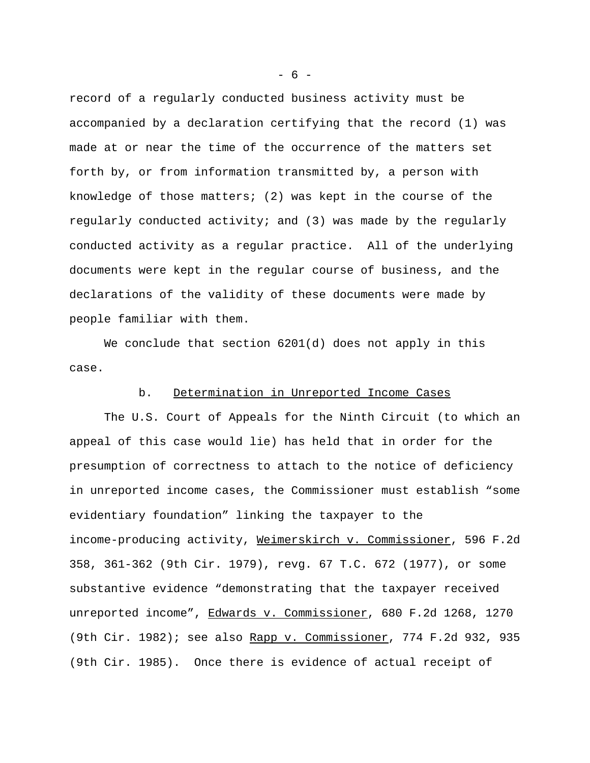record of a regularly conducted business activity must be accompanied by a declaration certifying that the record (1) was made at or near the time of the occurrence of the matters set forth by, or from information transmitted by, a person with knowledge of those matters; (2) was kept in the course of the regularly conducted activity; and (3) was made by the regularly conducted activity as a regular practice. All of the underlying documents were kept in the regular course of business, and the declarations of the validity of these documents were made by people familiar with them.

We conclude that section 6201(d) does not apply in this case.

## b. Determination in Unreported Income Cases

The U.S. Court of Appeals for the Ninth Circuit (to which an appeal of this case would lie) has held that in order for the presumption of correctness to attach to the notice of deficiency in unreported income cases, the Commissioner must establish "some evidentiary foundation" linking the taxpayer to the income-producing activity, Weimerskirch v. Commissioner, 596 F.2d 358, 361-362 (9th Cir. 1979), revg. 67 T.C. 672 (1977), or some substantive evidence "demonstrating that the taxpayer received unreported income", Edwards v. Commissioner, 680 F.2d 1268, 1270 (9th Cir. 1982); see also Rapp v. Commissioner, 774 F.2d 932, 935 (9th Cir. 1985). Once there is evidence of actual receipt of

- 6 -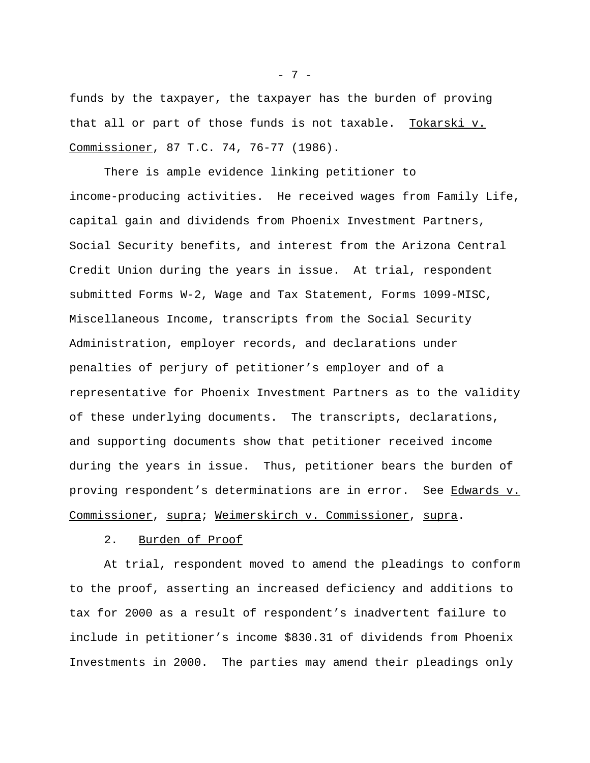funds by the taxpayer, the taxpayer has the burden of proving that all or part of those funds is not taxable. Tokarski v. Commissioner, 87 T.C. 74, 76-77 (1986).

There is ample evidence linking petitioner to income-producing activities. He received wages from Family Life, capital gain and dividends from Phoenix Investment Partners, Social Security benefits, and interest from the Arizona Central Credit Union during the years in issue. At trial, respondent submitted Forms W-2, Wage and Tax Statement, Forms 1099-MISC, Miscellaneous Income, transcripts from the Social Security Administration, employer records, and declarations under penalties of perjury of petitioner's employer and of a representative for Phoenix Investment Partners as to the validity of these underlying documents. The transcripts, declarations, and supporting documents show that petitioner received income during the years in issue. Thus, petitioner bears the burden of proving respondent's determinations are in error. See Edwards v. Commissioner, supra; Weimerskirch v. Commissioner, supra.

## 2. Burden of Proof

At trial, respondent moved to amend the pleadings to conform to the proof, asserting an increased deficiency and additions to tax for 2000 as a result of respondent's inadvertent failure to include in petitioner's income \$830.31 of dividends from Phoenix Investments in 2000. The parties may amend their pleadings only

- 7 -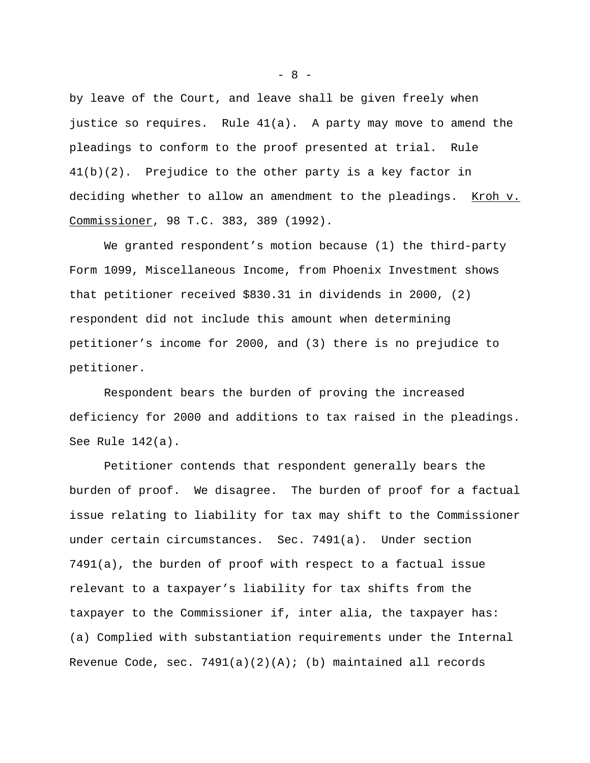by leave of the Court, and leave shall be given freely when justice so requires. Rule 41(a). A party may move to amend the pleadings to conform to the proof presented at trial. Rule 41(b)(2). Prejudice to the other party is a key factor in deciding whether to allow an amendment to the pleadings. Kroh v. Commissioner, 98 T.C. 383, 389 (1992).

We granted respondent's motion because (1) the third-party Form 1099, Miscellaneous Income, from Phoenix Investment shows that petitioner received \$830.31 in dividends in 2000, (2) respondent did not include this amount when determining petitioner's income for 2000, and (3) there is no prejudice to petitioner.

Respondent bears the burden of proving the increased deficiency for 2000 and additions to tax raised in the pleadings. See Rule 142(a).

Petitioner contends that respondent generally bears the burden of proof. We disagree. The burden of proof for a factual issue relating to liability for tax may shift to the Commissioner under certain circumstances. Sec. 7491(a). Under section 7491(a), the burden of proof with respect to a factual issue relevant to a taxpayer's liability for tax shifts from the taxpayer to the Commissioner if, inter alia, the taxpayer has: (a) Complied with substantiation requirements under the Internal Revenue Code, sec.  $7491(a)(2)(A);$  (b) maintained all records

 $- 8 -$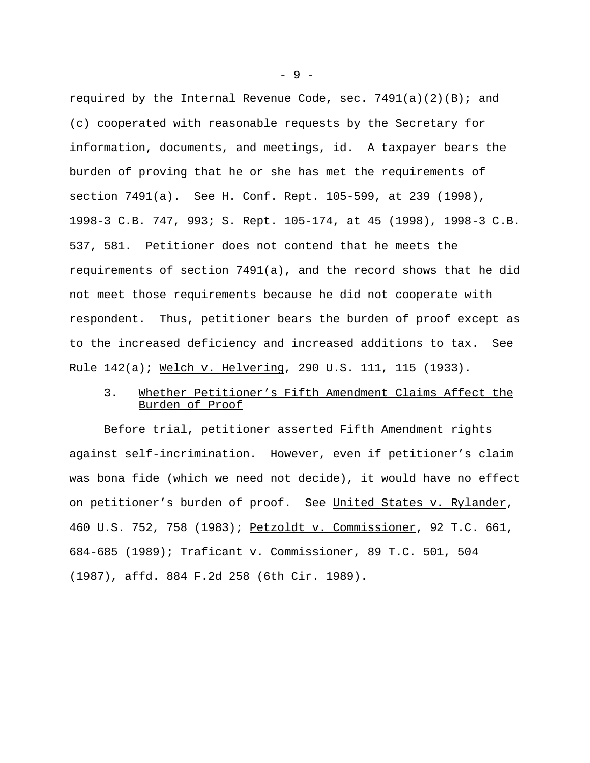required by the Internal Revenue Code, sec.  $7491(a)(2)(B)$ ; and (c) cooperated with reasonable requests by the Secretary for information, documents, and meetings, id. A taxpayer bears the burden of proving that he or she has met the requirements of section 7491(a). See H. Conf. Rept. 105-599, at 239 (1998), 1998-3 C.B. 747, 993; S. Rept. 105-174, at 45 (1998), 1998-3 C.B. 537, 581. Petitioner does not contend that he meets the requirements of section 7491(a), and the record shows that he did not meet those requirements because he did not cooperate with respondent. Thus, petitioner bears the burden of proof except as to the increased deficiency and increased additions to tax. See Rule 142(a); Welch v. Helvering, 290 U.S. 111, 115 (1933).

# 3. Whether Petitioner's Fifth Amendment Claims Affect the Burden of Proof

Before trial, petitioner asserted Fifth Amendment rights against self-incrimination. However, even if petitioner's claim was bona fide (which we need not decide), it would have no effect on petitioner's burden of proof. See United States v. Rylander, 460 U.S. 752, 758 (1983); Petzoldt v. Commissioner, 92 T.C. 661, 684-685 (1989); Traficant v. Commissioner, 89 T.C. 501, 504 (1987), affd. 884 F.2d 258 (6th Cir. 1989).

- 9 -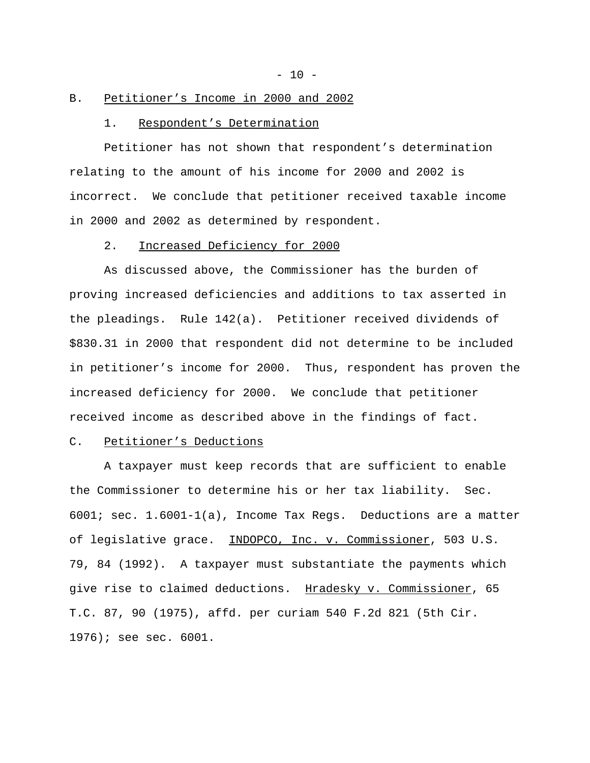$- 10 -$ 

### B. Petitioner's Income in 2000 and 2002

### 1. Respondent's Determination

Petitioner has not shown that respondent's determination relating to the amount of his income for 2000 and 2002 is incorrect. We conclude that petitioner received taxable income in 2000 and 2002 as determined by respondent.

### 2. Increased Deficiency for 2000

As discussed above, the Commissioner has the burden of proving increased deficiencies and additions to tax asserted in the pleadings. Rule 142(a). Petitioner received dividends of \$830.31 in 2000 that respondent did not determine to be included in petitioner's income for 2000. Thus, respondent has proven the increased deficiency for 2000. We conclude that petitioner received income as described above in the findings of fact.

### C. Petitioner's Deductions

A taxpayer must keep records that are sufficient to enable the Commissioner to determine his or her tax liability. Sec. 6001; sec. 1.6001-1(a), Income Tax Regs. Deductions are a matter of legislative grace. INDOPCO, Inc. v. Commissioner, 503 U.S. 79, 84 (1992). A taxpayer must substantiate the payments which give rise to claimed deductions. Hradesky v. Commissioner, 65 T.C. 87, 90 (1975), affd. per curiam 540 F.2d 821 (5th Cir. 1976); see sec. 6001.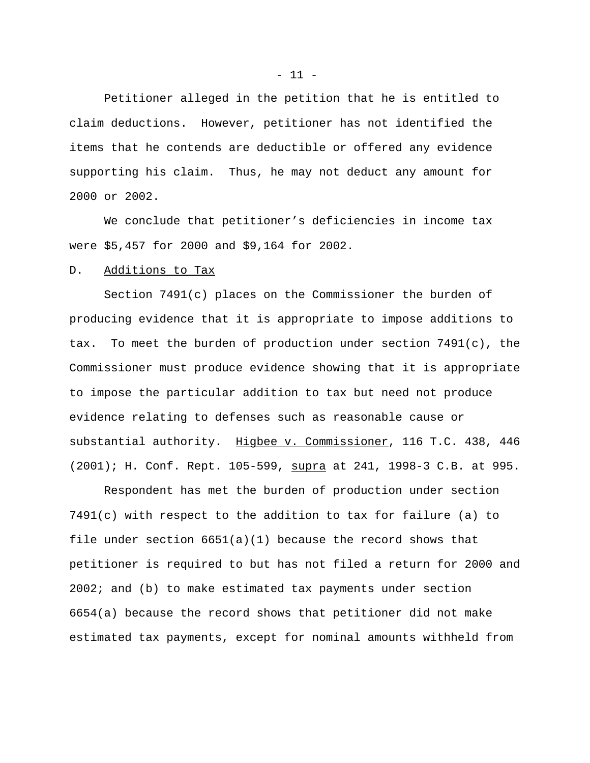Petitioner alleged in the petition that he is entitled to claim deductions. However, petitioner has not identified the items that he contends are deductible or offered any evidence supporting his claim. Thus, he may not deduct any amount for 2000 or 2002.

We conclude that petitioner's deficiencies in income tax were \$5,457 for 2000 and \$9,164 for 2002.

## D. Additions to Tax

Section 7491(c) places on the Commissioner the burden of producing evidence that it is appropriate to impose additions to tax. To meet the burden of production under section 7491(c), the Commissioner must produce evidence showing that it is appropriate to impose the particular addition to tax but need not produce evidence relating to defenses such as reasonable cause or substantial authority. Higbee v. Commissioner, 116 T.C. 438, 446 (2001); H. Conf. Rept. 105-599, supra at 241, 1998-3 C.B. at 995.

Respondent has met the burden of production under section 7491(c) with respect to the addition to tax for failure (a) to file under section  $6651(a)(1)$  because the record shows that petitioner is required to but has not filed a return for 2000 and 2002; and (b) to make estimated tax payments under section 6654(a) because the record shows that petitioner did not make estimated tax payments, except for nominal amounts withheld from

 $- 11 -$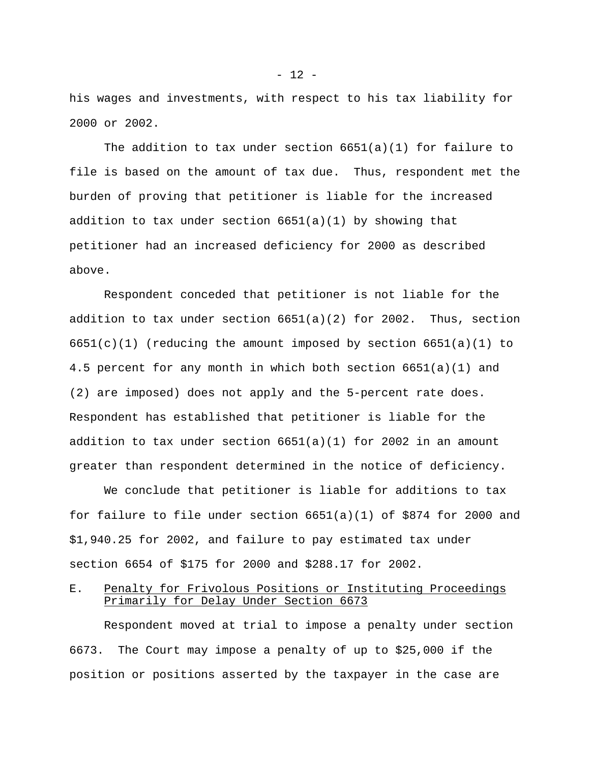his wages and investments, with respect to his tax liability for 2000 or 2002.

The addition to tax under section 6651(a)(1) for failure to file is based on the amount of tax due. Thus, respondent met the burden of proving that petitioner is liable for the increased addition to tax under section 6651(a)(1) by showing that petitioner had an increased deficiency for 2000 as described above.

Respondent conceded that petitioner is not liable for the addition to tax under section  $6651(a)(2)$  for 2002. Thus, section  $6651(c)(1)$  (reducing the amount imposed by section  $6651(a)(1)$  to 4.5 percent for any month in which both section 6651(a)(1) and (2) are imposed) does not apply and the 5-percent rate does. Respondent has established that petitioner is liable for the addition to tax under section  $6651(a)(1)$  for 2002 in an amount greater than respondent determined in the notice of deficiency.

We conclude that petitioner is liable for additions to tax for failure to file under section 6651(a)(1) of \$874 for 2000 and \$1,940.25 for 2002, and failure to pay estimated tax under section 6654 of \$175 for 2000 and \$288.17 for 2002.

E. Penalty for Frivolous Positions or Instituting Proceedings Primarily for Delay Under Section 6673

Respondent moved at trial to impose a penalty under section 6673. The Court may impose a penalty of up to \$25,000 if the position or positions asserted by the taxpayer in the case are